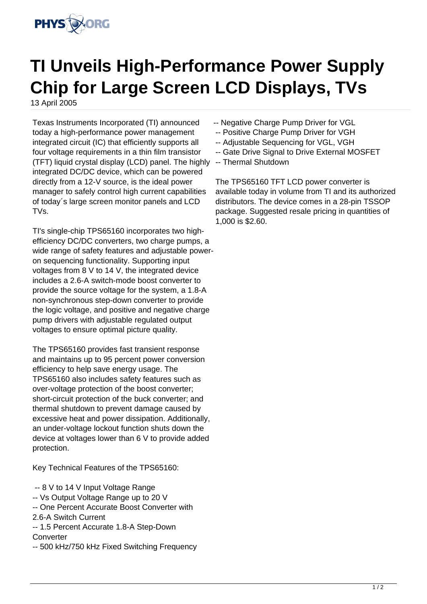

## **TI Unveils High-Performance Power Supply Chip for Large Screen LCD Displays, TVs**

13 April 2005

Texas Instruments Incorporated (TI) announced today a high-performance power management integrated circuit (IC) that efficiently supports all four voltage requirements in a thin film transistor (TFT) liquid crystal display (LCD) panel. The highly integrated DC/DC device, which can be powered directly from a 12-V source, is the ideal power manager to safely control high current capabilities of today´s large screen monitor panels and LCD TVs.

TI's single-chip TPS65160 incorporates two highefficiency DC/DC converters, two charge pumps, a wide range of safety features and adjustable poweron sequencing functionality. Supporting input voltages from 8 V to 14 V, the integrated device includes a 2.6-A switch-mode boost converter to provide the source voltage for the system, a 1.8-A non-synchronous step-down converter to provide the logic voltage, and positive and negative charge pump drivers with adjustable regulated output voltages to ensure optimal picture quality.

The TPS65160 provides fast transient response and maintains up to 95 percent power conversion efficiency to help save energy usage. The TPS65160 also includes safety features such as over-voltage protection of the boost converter; short-circuit protection of the buck converter; and thermal shutdown to prevent damage caused by excessive heat and power dissipation. Additionally, an under-voltage lockout function shuts down the device at voltages lower than 6 V to provide added protection.

Key Technical Features of the TPS65160:

- -- 8 V to 14 V Input Voltage Range
- -- Vs Output Voltage Range up to 20 V
- -- One Percent Accurate Boost Converter with
- 2.6-A Switch Current
- -- 1.5 Percent Accurate 1.8-A Step-Down **Converter**
- -- 500 kHz/750 kHz Fixed Switching Frequency
- -- Negative Charge Pump Driver for VGL
- -- Positive Charge Pump Driver for VGH
- -- Adjustable Sequencing for VGL, VGH
- -- Gate Drive Signal to Drive External MOSFET
- -- Thermal Shutdown

The TPS65160 TFT LCD power converter is available today in volume from TI and its authorized distributors. The device comes in a 28-pin TSSOP package. Suggested resale pricing in quantities of 1,000 is \$2.60.